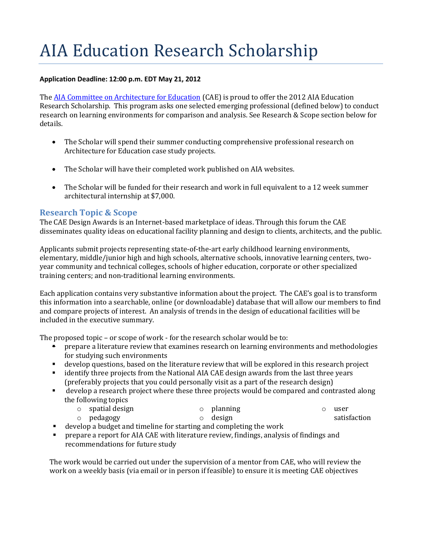# AIA Education Research Scholarship

#### **Application Deadline: 12:00 p.m. EDT May 21, 2012**

The [AIA Committee on Architecture for Education](http://www.aia.org/cae) (CAE) is proud to offer the 2012 AIA Education Research Scholarship. This program asks one selected emerging professional (defined below) to conduct research on learning environments for comparison and analysis. See Research & Scope section below for details.

- The Scholar will spend their summer conducting comprehensive professional research on Architecture for Education case study projects.
- The Scholar will have their completed work published on AIA websites.
- The Scholar will be funded for their research and work in full equivalent to a 12 week summer architectural internship at \$7,000.

### **Research Topic & Scope**

The CAE Design Awards is an Internet-based marketplace of ideas. Through this forum the CAE disseminates quality ideas on educational facility planning and design to clients, architects, and the public.

Applicants submit projects representing state-of-the-art early childhood learning environments, elementary, middle/junior high and high schools, alternative schools, innovative learning centers, twoyear community and technical colleges, schools of higher education, corporate or other specialized training centers; and non-traditional learning environments.

Each application contains very substantive information about the project. The CAE's goal is to transform this information into a searchable, online (or downloadable) database that will allow our members to find and compare projects of interest. An analysis of trends in the design of educational facilities will be included in the executive summary.

The proposed topic – or scope of work - for the research scholar would be to:

- **•** prepare a literature review that examines research on learning environments and methodologies for studying such environments
- develop questions, based on the literature review that will be explored in this research project
- identify three projects from the National AIA CAE design awards from the last three years (preferably projects that you could personally visit as a part of the research design)
- develop a research project where these three projects would be compared and contrasted along the following topics
	- o spatial design o pedagogy o planning o design
- o user satisfaction
- develop a budget and timeline for starting and completing the work
- prepare a report for AIA CAE with literature review, findings, analysis of findings and recommendations for future study

The work would be carried out under the supervision of a mentor from CAE, who will review the work on a weekly basis (via email or in person if feasible) to ensure it is meeting CAE objectives